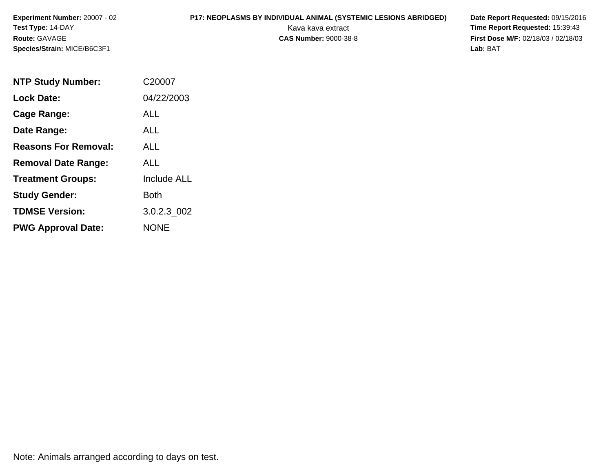# **P17: NEOPLASMS BY INDIVIDUAL ANIMAL (SYSTEMIC LESIONS ABRIDGED) Date Report Requested: 09/15/2016<br>Kava kava extract <b>Time Report Requested: 15:39:43**

Kava kava extract **Time Report Requested:** 15:39:43<br>**CAS Number:** 9000-38-8 **Time Report Requested:** 15:39:43 **First Dose M/F:** 02/18/03 / 02/18/03<br>Lab: BAT **Lab:** BAT

| <b>NTP Study Number:</b>    | C <sub>2000</sub> 7 |
|-----------------------------|---------------------|
| <b>Lock Date:</b>           | 04/22/2003          |
| Cage Range:                 | ALL                 |
| Date Range:                 | ALL                 |
| <b>Reasons For Removal:</b> | AI I                |
| <b>Removal Date Range:</b>  | ALL                 |
| <b>Treatment Groups:</b>    | <b>Include ALL</b>  |
| <b>Study Gender:</b>        | Both                |
| <b>TDMSE Version:</b>       | 3.0.2.3_002         |
| <b>PWG Approval Date:</b>   | NONE                |

Note: Animals arranged according to days on test.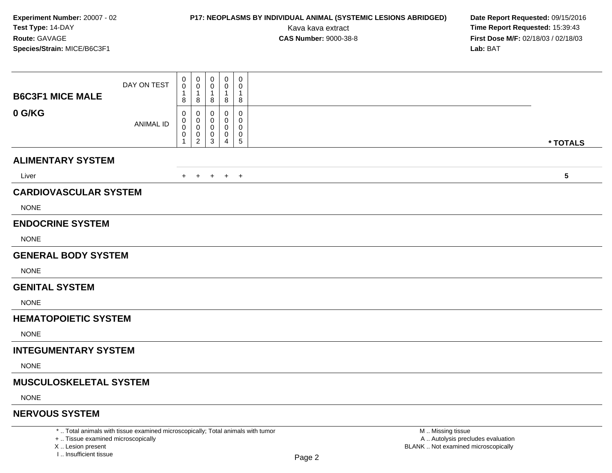# **P17: NEOPLASMS BY INDIVIDUAL ANIMAL (SYSTEMIC LESIONS ABRIDGED) Date Report Requested:** 09/15/2016

Kava kava extract **Time Report Requested:** 15:39:43<br>**CAS Number:** 9000-38-8 **Time Report Requested:** 15:39:43 **First Dose M/F:** 02/18/03 / 02/18/03<br>Lab: BAT **Lab:** BAT

|                               | DAY ON TEST                                                                     | 0<br>$\mathbf 0$ | $\mathbf 0$<br>0        | 0<br>0                  | $\mathbf 0$<br>0 | 0<br>0           |                   |                         |
|-------------------------------|---------------------------------------------------------------------------------|------------------|-------------------------|-------------------------|------------------|------------------|-------------------|-------------------------|
| <b>B6C3F1 MICE MALE</b>       |                                                                                 | 1<br>8           | 8                       | $\mathbf{1}$<br>8       | 1<br>8           | 1<br>8           |                   |                         |
| 0 G/KG                        | <b>ANIMAL ID</b>                                                                | 0<br>0<br>0<br>0 | $\Omega$<br>0<br>0<br>0 | $\Omega$<br>0<br>0<br>0 | 0<br>0<br>0<br>0 | 0<br>0<br>0<br>0 |                   |                         |
|                               |                                                                                 | $\mathbf{1}$     | $\overline{2}$          | $\mathbf{3}$            | 4                | 5                |                   | * TOTALS                |
| <b>ALIMENTARY SYSTEM</b>      |                                                                                 |                  |                         |                         |                  |                  |                   |                         |
| Liver                         |                                                                                 |                  |                         |                         | + + + + +        |                  |                   | $\overline{\mathbf{5}}$ |
| <b>CARDIOVASCULAR SYSTEM</b>  |                                                                                 |                  |                         |                         |                  |                  |                   |                         |
| <b>NONE</b>                   |                                                                                 |                  |                         |                         |                  |                  |                   |                         |
| <b>ENDOCRINE SYSTEM</b>       |                                                                                 |                  |                         |                         |                  |                  |                   |                         |
| <b>NONE</b>                   |                                                                                 |                  |                         |                         |                  |                  |                   |                         |
| <b>GENERAL BODY SYSTEM</b>    |                                                                                 |                  |                         |                         |                  |                  |                   |                         |
| <b>NONE</b>                   |                                                                                 |                  |                         |                         |                  |                  |                   |                         |
| <b>GENITAL SYSTEM</b>         |                                                                                 |                  |                         |                         |                  |                  |                   |                         |
| <b>NONE</b>                   |                                                                                 |                  |                         |                         |                  |                  |                   |                         |
| <b>HEMATOPOIETIC SYSTEM</b>   |                                                                                 |                  |                         |                         |                  |                  |                   |                         |
| <b>NONE</b>                   |                                                                                 |                  |                         |                         |                  |                  |                   |                         |
| <b>INTEGUMENTARY SYSTEM</b>   |                                                                                 |                  |                         |                         |                  |                  |                   |                         |
| <b>NONE</b>                   |                                                                                 |                  |                         |                         |                  |                  |                   |                         |
| <b>MUSCULOSKELETAL SYSTEM</b> |                                                                                 |                  |                         |                         |                  |                  |                   |                         |
| <b>NONE</b>                   |                                                                                 |                  |                         |                         |                  |                  |                   |                         |
| <b>NERVOUS SYSTEM</b>         |                                                                                 |                  |                         |                         |                  |                  |                   |                         |
|                               | *  Total animals with tissue examined microscopically; Total animals with tumor |                  |                         |                         |                  |                  | M  Missing tissue |                         |

+ .. Tissue examined microscopically

X .. Lesion present

I .. Insufficient tissue

 M .. Missing tissue A .. Autolysis precludes evaluationLesion present BLANK .. Not examined microscopically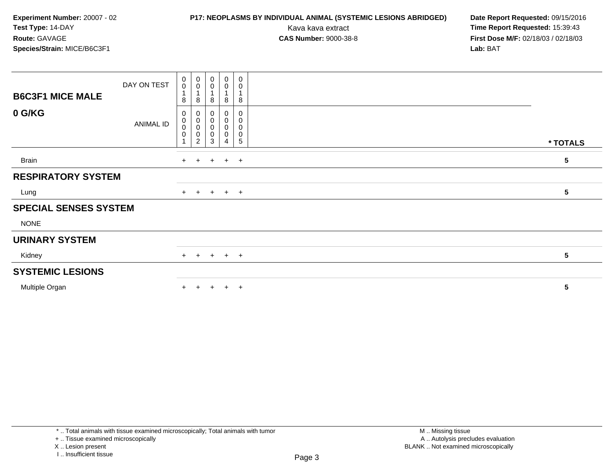### **P17: NEOPLASMS BY INDIVIDUAL ANIMAL (SYSTEMIC LESIONS ABRIDGED) Date Report Requested: 09/15/2016<br>Kava kava extract <b>Time Report Requested: 15:39:43**

Kava kava extract **Time Report Requested:** 15:39:43<br>**CAS Number:** 9000-38-8 **Time Report Requested:** 15:39:43 **First Dose M/F:** 02/18/03 / 02/18/03<br>Lab: BAT **Lab:** BAT

| <b>B6C3F1 MICE MALE</b>      | DAY ON TEST      | $\begin{smallmatrix} 0\\0 \end{smallmatrix}$<br>8 | $_{\rm 0}^{\rm 0}$<br>1<br>8       | $\boldsymbol{0}$<br>$\pmb{0}$<br>$\overline{A}$<br>8                  | $_0^0$<br>8                             | $_{\rm 0}^{\rm 0}$<br>$\mathbf{1}$<br>8                            |                 |  |
|------------------------------|------------------|---------------------------------------------------|------------------------------------|-----------------------------------------------------------------------|-----------------------------------------|--------------------------------------------------------------------|-----------------|--|
| 0 G/KG                       | <b>ANIMAL ID</b> | 0<br>$\pmb{0}$<br>$\pmb{0}$<br>0                  | 0<br>0<br>0<br>0<br>$\overline{c}$ | $\boldsymbol{0}$<br>$\boldsymbol{0}$<br>$\pmb{0}$<br>$\mathbf 0$<br>3 | 0<br>$\mathsf{O}\xspace$<br>0<br>0<br>4 | $\pmb{0}$<br>$\pmb{0}$<br>$\pmb{0}$<br>$\pmb{0}$<br>$\overline{5}$ | * TOTALS        |  |
| Brain                        |                  | $+$                                               | $+$                                |                                                                       | $+$ $+$ $+$                             |                                                                    | 5               |  |
| <b>RESPIRATORY SYSTEM</b>    |                  |                                                   |                                    |                                                                       |                                         |                                                                    |                 |  |
| Lung                         |                  |                                                   |                                    | $+$ $+$ $+$ $+$ $+$                                                   |                                         |                                                                    | $5\phantom{.0}$ |  |
| <b>SPECIAL SENSES SYSTEM</b> |                  |                                                   |                                    |                                                                       |                                         |                                                                    |                 |  |
| <b>NONE</b>                  |                  |                                                   |                                    |                                                                       |                                         |                                                                    |                 |  |
| <b>URINARY SYSTEM</b>        |                  |                                                   |                                    |                                                                       |                                         |                                                                    |                 |  |
| Kidney                       |                  | $+$                                               |                                    | $+ + + +$                                                             |                                         |                                                                    | $5\phantom{.0}$ |  |
| <b>SYSTEMIC LESIONS</b>      |                  |                                                   |                                    |                                                                       |                                         |                                                                    |                 |  |
| Multiple Organ               |                  | $+$                                               | $+$                                |                                                                       | $+$ $+$                                 | $+$                                                                | 5               |  |

<sup>+ ..</sup> Tissue examined microscopically

X .. Lesion present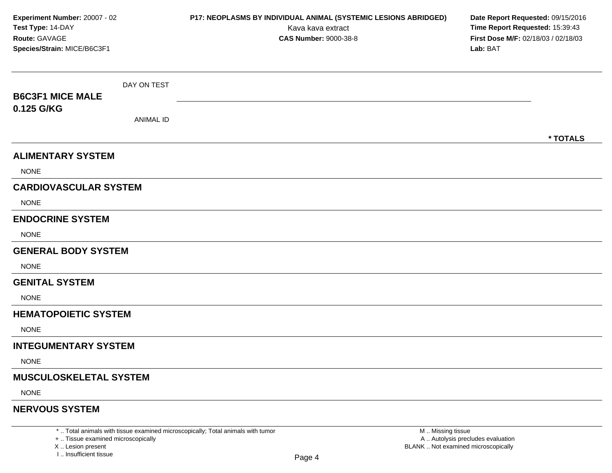| Experiment Number: 20007 - 02<br>Test Type: 14-DAY<br>Route: GAVAGE<br>Species/Strain: MICE/B6C3F1 |                  | P17: NEOPLASMS BY INDIVIDUAL ANIMAL (SYSTEMIC LESIONS ABRIDGED)<br>Kava kava extract<br><b>CAS Number: 9000-38-8</b> | Date Report Requested: 09/15/2016<br>Time Report Requested: 15:39:43<br>First Dose M/F: 02/18/03 / 02/18/03<br>Lab: BAT |  |  |  |
|----------------------------------------------------------------------------------------------------|------------------|----------------------------------------------------------------------------------------------------------------------|-------------------------------------------------------------------------------------------------------------------------|--|--|--|
|                                                                                                    | DAY ON TEST      |                                                                                                                      |                                                                                                                         |  |  |  |
| <b>B6C3F1 MICE MALE</b><br>0.125 G/KG                                                              |                  |                                                                                                                      |                                                                                                                         |  |  |  |
|                                                                                                    | <b>ANIMAL ID</b> |                                                                                                                      |                                                                                                                         |  |  |  |
|                                                                                                    |                  |                                                                                                                      | * TOTALS                                                                                                                |  |  |  |
| <b>ALIMENTARY SYSTEM</b>                                                                           |                  |                                                                                                                      |                                                                                                                         |  |  |  |
| <b>NONE</b>                                                                                        |                  |                                                                                                                      |                                                                                                                         |  |  |  |
| <b>CARDIOVASCULAR SYSTEM</b>                                                                       |                  |                                                                                                                      |                                                                                                                         |  |  |  |
| <b>NONE</b>                                                                                        |                  |                                                                                                                      |                                                                                                                         |  |  |  |
| <b>ENDOCRINE SYSTEM</b>                                                                            |                  |                                                                                                                      |                                                                                                                         |  |  |  |
| <b>NONE</b>                                                                                        |                  |                                                                                                                      |                                                                                                                         |  |  |  |
| <b>GENERAL BODY SYSTEM</b>                                                                         |                  |                                                                                                                      |                                                                                                                         |  |  |  |
| <b>NONE</b>                                                                                        |                  |                                                                                                                      |                                                                                                                         |  |  |  |
| <b>GENITAL SYSTEM</b>                                                                              |                  |                                                                                                                      |                                                                                                                         |  |  |  |
| <b>NONE</b>                                                                                        |                  |                                                                                                                      |                                                                                                                         |  |  |  |
| <b>HEMATOPOIETIC SYSTEM</b>                                                                        |                  |                                                                                                                      |                                                                                                                         |  |  |  |
| <b>NONE</b>                                                                                        |                  |                                                                                                                      |                                                                                                                         |  |  |  |
| <b>INTEGUMENTARY SYSTEM</b>                                                                        |                  |                                                                                                                      |                                                                                                                         |  |  |  |
| <b>NONE</b>                                                                                        |                  |                                                                                                                      |                                                                                                                         |  |  |  |
| <b>MUSCULOSKELETAL SYSTEM</b>                                                                      |                  |                                                                                                                      |                                                                                                                         |  |  |  |
| <b>NONE</b>                                                                                        |                  |                                                                                                                      |                                                                                                                         |  |  |  |
| <b>NERVOUS SYSTEM</b>                                                                              |                  |                                                                                                                      |                                                                                                                         |  |  |  |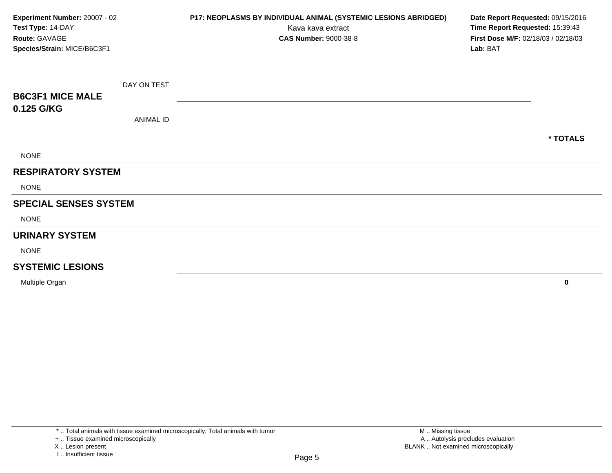| Experiment Number: 20007 - 02<br>Test Type: 14-DAY<br>Route: GAVAGE<br>Species/Strain: MICE/B6C3F1 |                  | P17: NEOPLASMS BY INDIVIDUAL ANIMAL (SYSTEMIC LESIONS ABRIDGED)<br>Kava kava extract<br><b>CAS Number: 9000-38-8</b> | Date Report Requested: 09/15/2016<br>Time Report Requested: 15:39:43<br>First Dose M/F: 02/18/03 / 02/18/03<br>Lab: BAT |
|----------------------------------------------------------------------------------------------------|------------------|----------------------------------------------------------------------------------------------------------------------|-------------------------------------------------------------------------------------------------------------------------|
|                                                                                                    | DAY ON TEST      |                                                                                                                      |                                                                                                                         |
| <b>B6C3F1 MICE MALE</b>                                                                            |                  |                                                                                                                      |                                                                                                                         |
| 0.125 G/KG                                                                                         | <b>ANIMAL ID</b> |                                                                                                                      |                                                                                                                         |
|                                                                                                    |                  |                                                                                                                      | * TOTALS                                                                                                                |
| <b>NONE</b>                                                                                        |                  |                                                                                                                      |                                                                                                                         |
| <b>RESPIRATORY SYSTEM</b>                                                                          |                  |                                                                                                                      |                                                                                                                         |
| <b>NONE</b>                                                                                        |                  |                                                                                                                      |                                                                                                                         |
| <b>SPECIAL SENSES SYSTEM</b>                                                                       |                  |                                                                                                                      |                                                                                                                         |
| <b>NONE</b>                                                                                        |                  |                                                                                                                      |                                                                                                                         |
| <b>URINARY SYSTEM</b>                                                                              |                  |                                                                                                                      |                                                                                                                         |
| <b>NONE</b>                                                                                        |                  |                                                                                                                      |                                                                                                                         |
| <b>SYSTEMIC LESIONS</b>                                                                            |                  |                                                                                                                      |                                                                                                                         |
| Multiple Organ                                                                                     |                  |                                                                                                                      | 0                                                                                                                       |

X .. Lesion present

I .. Insufficient tissue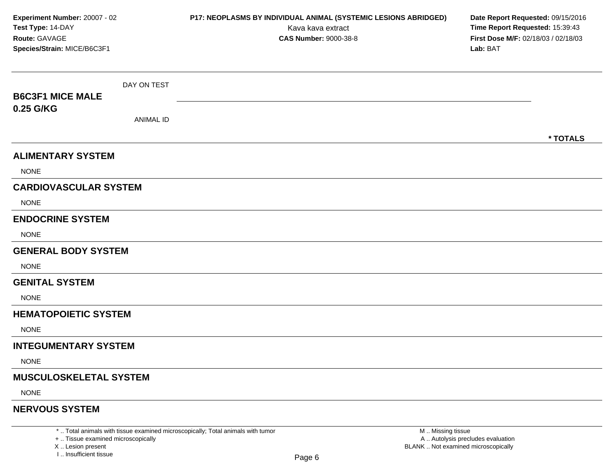| Experiment Number: 20007 - 02<br>Test Type: 14-DAY<br>Route: GAVAGE<br>Species/Strain: MICE/B6C3F1 |                  | P17: NEOPLASMS BY INDIVIDUAL ANIMAL (SYSTEMIC LESIONS ABRIDGED)<br>Kava kava extract<br><b>CAS Number: 9000-38-8</b> | Date Report Requested: 09/15/2016<br>Time Report Requested: 15:39:43<br>First Dose M/F: 02/18/03 / 02/18/03<br>Lab: BAT |  |  |  |
|----------------------------------------------------------------------------------------------------|------------------|----------------------------------------------------------------------------------------------------------------------|-------------------------------------------------------------------------------------------------------------------------|--|--|--|
|                                                                                                    | DAY ON TEST      |                                                                                                                      |                                                                                                                         |  |  |  |
| <b>B6C3F1 MICE MALE</b>                                                                            |                  |                                                                                                                      |                                                                                                                         |  |  |  |
| 0.25 G/KG                                                                                          | <b>ANIMAL ID</b> |                                                                                                                      |                                                                                                                         |  |  |  |
|                                                                                                    |                  |                                                                                                                      | * TOTALS                                                                                                                |  |  |  |
| <b>ALIMENTARY SYSTEM</b>                                                                           |                  |                                                                                                                      |                                                                                                                         |  |  |  |
| <b>NONE</b>                                                                                        |                  |                                                                                                                      |                                                                                                                         |  |  |  |
| <b>CARDIOVASCULAR SYSTEM</b>                                                                       |                  |                                                                                                                      |                                                                                                                         |  |  |  |
| <b>NONE</b>                                                                                        |                  |                                                                                                                      |                                                                                                                         |  |  |  |
| <b>ENDOCRINE SYSTEM</b>                                                                            |                  |                                                                                                                      |                                                                                                                         |  |  |  |
| <b>NONE</b>                                                                                        |                  |                                                                                                                      |                                                                                                                         |  |  |  |
| <b>GENERAL BODY SYSTEM</b>                                                                         |                  |                                                                                                                      |                                                                                                                         |  |  |  |
| <b>NONE</b>                                                                                        |                  |                                                                                                                      |                                                                                                                         |  |  |  |
| <b>GENITAL SYSTEM</b>                                                                              |                  |                                                                                                                      |                                                                                                                         |  |  |  |
| <b>NONE</b>                                                                                        |                  |                                                                                                                      |                                                                                                                         |  |  |  |
| <b>HEMATOPOIETIC SYSTEM</b>                                                                        |                  |                                                                                                                      |                                                                                                                         |  |  |  |
| <b>NONE</b>                                                                                        |                  |                                                                                                                      |                                                                                                                         |  |  |  |
| <b>INTEGUMENTARY SYSTEM</b>                                                                        |                  |                                                                                                                      |                                                                                                                         |  |  |  |
| <b>NONE</b>                                                                                        |                  |                                                                                                                      |                                                                                                                         |  |  |  |
| <b>MUSCULOSKELETAL SYSTEM</b>                                                                      |                  |                                                                                                                      |                                                                                                                         |  |  |  |
| <b>NONE</b>                                                                                        |                  |                                                                                                                      |                                                                                                                         |  |  |  |
| <b>NERVOUS SYSTEM</b>                                                                              |                  |                                                                                                                      |                                                                                                                         |  |  |  |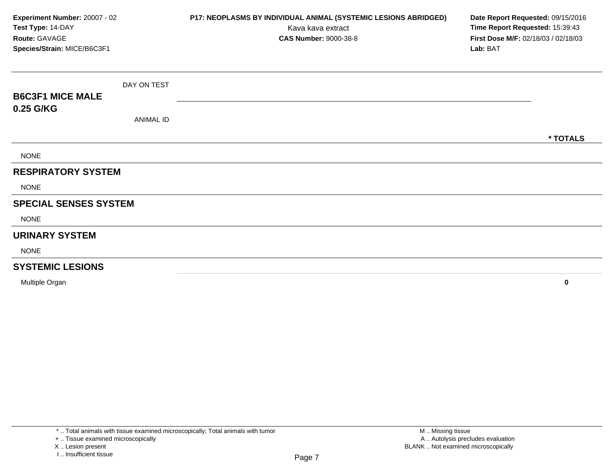| Experiment Number: 20007 - 02<br>Test Type: 14-DAY<br>Route: GAVAGE<br>Species/Strain: MICE/B6C3F1 |                  | P17: NEOPLASMS BY INDIVIDUAL ANIMAL (SYSTEMIC LESIONS ABRIDGED)<br>Kava kava extract<br><b>CAS Number: 9000-38-8</b> | Date Report Requested: 09/15/2016<br>Time Report Requested: 15:39:43<br>First Dose M/F: 02/18/03 / 02/18/03<br>Lab: BAT |
|----------------------------------------------------------------------------------------------------|------------------|----------------------------------------------------------------------------------------------------------------------|-------------------------------------------------------------------------------------------------------------------------|
|                                                                                                    | DAY ON TEST      |                                                                                                                      |                                                                                                                         |
| <b>B6C3F1 MICE MALE</b>                                                                            |                  |                                                                                                                      |                                                                                                                         |
| 0.25 G/KG                                                                                          | <b>ANIMAL ID</b> |                                                                                                                      |                                                                                                                         |
|                                                                                                    |                  |                                                                                                                      | * TOTALS                                                                                                                |
| <b>NONE</b>                                                                                        |                  |                                                                                                                      |                                                                                                                         |
| <b>RESPIRATORY SYSTEM</b>                                                                          |                  |                                                                                                                      |                                                                                                                         |
| <b>NONE</b>                                                                                        |                  |                                                                                                                      |                                                                                                                         |
| <b>SPECIAL SENSES SYSTEM</b>                                                                       |                  |                                                                                                                      |                                                                                                                         |
| <b>NONE</b>                                                                                        |                  |                                                                                                                      |                                                                                                                         |
| <b>URINARY SYSTEM</b>                                                                              |                  |                                                                                                                      |                                                                                                                         |
| <b>NONE</b>                                                                                        |                  |                                                                                                                      |                                                                                                                         |
| <b>SYSTEMIC LESIONS</b>                                                                            |                  |                                                                                                                      |                                                                                                                         |
| Multiple Organ                                                                                     |                  |                                                                                                                      | 0                                                                                                                       |

X .. Lesion present

I .. Insufficient tissue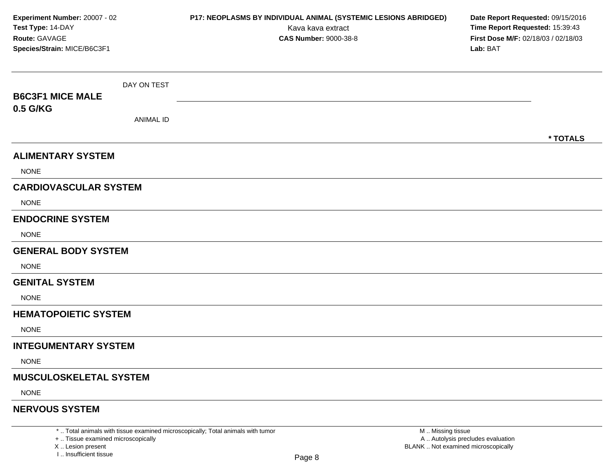| Experiment Number: 20007 - 02<br>Test Type: 14-DAY<br>Route: GAVAGE<br>Species/Strain: MICE/B6C3F1 |                  | P17: NEOPLASMS BY INDIVIDUAL ANIMAL (SYSTEMIC LESIONS ABRIDGED)<br>Kava kava extract<br><b>CAS Number: 9000-38-8</b> | Date Report Requested: 09/15/2016<br>Time Report Requested: 15:39:43<br>First Dose M/F: 02/18/03 / 02/18/03<br>Lab: BAT |  |  |  |
|----------------------------------------------------------------------------------------------------|------------------|----------------------------------------------------------------------------------------------------------------------|-------------------------------------------------------------------------------------------------------------------------|--|--|--|
|                                                                                                    | DAY ON TEST      |                                                                                                                      |                                                                                                                         |  |  |  |
| <b>B6C3F1 MICE MALE</b>                                                                            |                  |                                                                                                                      |                                                                                                                         |  |  |  |
| 0.5 G/KG                                                                                           | <b>ANIMAL ID</b> |                                                                                                                      |                                                                                                                         |  |  |  |
|                                                                                                    |                  |                                                                                                                      | * TOTALS                                                                                                                |  |  |  |
| <b>ALIMENTARY SYSTEM</b>                                                                           |                  |                                                                                                                      |                                                                                                                         |  |  |  |
| <b>NONE</b>                                                                                        |                  |                                                                                                                      |                                                                                                                         |  |  |  |
| <b>CARDIOVASCULAR SYSTEM</b>                                                                       |                  |                                                                                                                      |                                                                                                                         |  |  |  |
| <b>NONE</b>                                                                                        |                  |                                                                                                                      |                                                                                                                         |  |  |  |
| <b>ENDOCRINE SYSTEM</b>                                                                            |                  |                                                                                                                      |                                                                                                                         |  |  |  |
| <b>NONE</b>                                                                                        |                  |                                                                                                                      |                                                                                                                         |  |  |  |
| <b>GENERAL BODY SYSTEM</b>                                                                         |                  |                                                                                                                      |                                                                                                                         |  |  |  |
| <b>NONE</b>                                                                                        |                  |                                                                                                                      |                                                                                                                         |  |  |  |
| <b>GENITAL SYSTEM</b>                                                                              |                  |                                                                                                                      |                                                                                                                         |  |  |  |
| <b>NONE</b>                                                                                        |                  |                                                                                                                      |                                                                                                                         |  |  |  |
| <b>HEMATOPOIETIC SYSTEM</b>                                                                        |                  |                                                                                                                      |                                                                                                                         |  |  |  |
| <b>NONE</b>                                                                                        |                  |                                                                                                                      |                                                                                                                         |  |  |  |
| <b>INTEGUMENTARY SYSTEM</b>                                                                        |                  |                                                                                                                      |                                                                                                                         |  |  |  |
| <b>NONE</b>                                                                                        |                  |                                                                                                                      |                                                                                                                         |  |  |  |
| <b>MUSCULOSKELETAL SYSTEM</b>                                                                      |                  |                                                                                                                      |                                                                                                                         |  |  |  |
| <b>NONE</b>                                                                                        |                  |                                                                                                                      |                                                                                                                         |  |  |  |
| <b>NERVOUS SYSTEM</b>                                                                              |                  |                                                                                                                      |                                                                                                                         |  |  |  |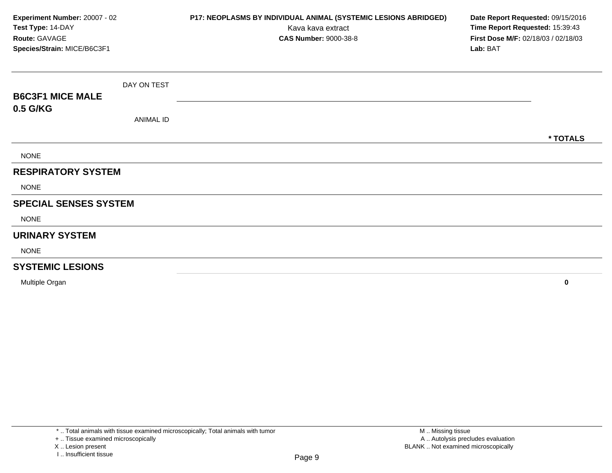| Experiment Number: 20007 - 02<br>Test Type: 14-DAY<br>Route: GAVAGE<br>Species/Strain: MICE/B6C3F1 |                  | P17: NEOPLASMS BY INDIVIDUAL ANIMAL (SYSTEMIC LESIONS ABRIDGED)<br>Kava kava extract<br><b>CAS Number: 9000-38-8</b> | Date Report Requested: 09/15/2016<br>Time Report Requested: 15:39:43<br>First Dose M/F: 02/18/03 / 02/18/03<br>Lab: BAT |
|----------------------------------------------------------------------------------------------------|------------------|----------------------------------------------------------------------------------------------------------------------|-------------------------------------------------------------------------------------------------------------------------|
|                                                                                                    | DAY ON TEST      |                                                                                                                      |                                                                                                                         |
| <b>B6C3F1 MICE MALE</b>                                                                            |                  |                                                                                                                      |                                                                                                                         |
| 0.5 G/KG                                                                                           | <b>ANIMAL ID</b> |                                                                                                                      |                                                                                                                         |
|                                                                                                    |                  |                                                                                                                      | * TOTALS                                                                                                                |
| <b>NONE</b>                                                                                        |                  |                                                                                                                      |                                                                                                                         |
| <b>RESPIRATORY SYSTEM</b>                                                                          |                  |                                                                                                                      |                                                                                                                         |
| <b>NONE</b>                                                                                        |                  |                                                                                                                      |                                                                                                                         |
| <b>SPECIAL SENSES SYSTEM</b>                                                                       |                  |                                                                                                                      |                                                                                                                         |
| <b>NONE</b>                                                                                        |                  |                                                                                                                      |                                                                                                                         |
| <b>URINARY SYSTEM</b>                                                                              |                  |                                                                                                                      |                                                                                                                         |
| <b>NONE</b>                                                                                        |                  |                                                                                                                      |                                                                                                                         |
| <b>SYSTEMIC LESIONS</b>                                                                            |                  |                                                                                                                      |                                                                                                                         |
| Multiple Organ                                                                                     |                  |                                                                                                                      | 0                                                                                                                       |

X .. Lesion present

I .. Insufficient tissue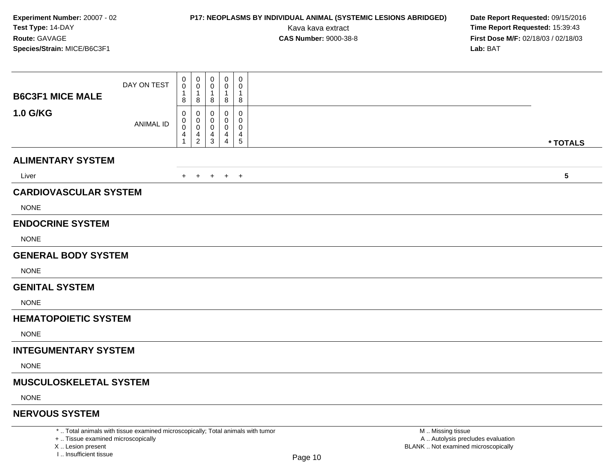## **P17: NEOPLASMS BY INDIVIDUAL ANIMAL (SYSTEMIC LESIONS ABRIDGED) Date Report Requested:** 09/15/2016

Kava kava extract **Time Report Requested:** 15:39:43<br>**CAS Number:** 9000-38-8 **Time Report Requested:** 15:39:43 **First Dose M/F:** 02/18/03 / 02/18/03<br>Lab: BAT **Lab:** BAT

|                               | DAY ON TEST                                                                     | 0<br>0                           | $\mathbf 0$<br>$\mathbf 0$             | $\mathbf 0$<br>$\mathbf 0$                | $\mathbf 0$<br>0                   | $\mathbf 0$<br>$\mathbf 0$ |                   |                 |
|-------------------------------|---------------------------------------------------------------------------------|----------------------------------|----------------------------------------|-------------------------------------------|------------------------------------|----------------------------|-------------------|-----------------|
| <b>B6C3F1 MICE MALE</b>       |                                                                                 | $\mathbf 1$<br>8                 | 8                                      | $\mathbf{1}$<br>8                         | $\mathbf{1}$<br>8                  | 1<br>8                     |                   |                 |
| 1.0 G/KG                      | <b>ANIMAL ID</b>                                                                | 0<br>0<br>0<br>4<br>$\mathbf{1}$ | 0<br>0<br>$\mathbf 0$<br>$\frac{4}{2}$ | 0<br>0<br>$\mathbf 0$<br>4<br>$\mathsf 3$ | 0<br>0<br>0<br>4<br>$\overline{4}$ | 0<br>0<br>0<br>4<br>5      |                   | * TOTALS        |
| <b>ALIMENTARY SYSTEM</b>      |                                                                                 |                                  |                                        |                                           |                                    |                            |                   |                 |
| Liver                         |                                                                                 |                                  |                                        |                                           | + + + + +                          |                            |                   | $5\phantom{.0}$ |
| <b>CARDIOVASCULAR SYSTEM</b>  |                                                                                 |                                  |                                        |                                           |                                    |                            |                   |                 |
| <b>NONE</b>                   |                                                                                 |                                  |                                        |                                           |                                    |                            |                   |                 |
| <b>ENDOCRINE SYSTEM</b>       |                                                                                 |                                  |                                        |                                           |                                    |                            |                   |                 |
| <b>NONE</b>                   |                                                                                 |                                  |                                        |                                           |                                    |                            |                   |                 |
| <b>GENERAL BODY SYSTEM</b>    |                                                                                 |                                  |                                        |                                           |                                    |                            |                   |                 |
| <b>NONE</b>                   |                                                                                 |                                  |                                        |                                           |                                    |                            |                   |                 |
| <b>GENITAL SYSTEM</b>         |                                                                                 |                                  |                                        |                                           |                                    |                            |                   |                 |
| <b>NONE</b>                   |                                                                                 |                                  |                                        |                                           |                                    |                            |                   |                 |
| <b>HEMATOPOIETIC SYSTEM</b>   |                                                                                 |                                  |                                        |                                           |                                    |                            |                   |                 |
| <b>NONE</b>                   |                                                                                 |                                  |                                        |                                           |                                    |                            |                   |                 |
| <b>INTEGUMENTARY SYSTEM</b>   |                                                                                 |                                  |                                        |                                           |                                    |                            |                   |                 |
| <b>NONE</b>                   |                                                                                 |                                  |                                        |                                           |                                    |                            |                   |                 |
| <b>MUSCULOSKELETAL SYSTEM</b> |                                                                                 |                                  |                                        |                                           |                                    |                            |                   |                 |
| <b>NONE</b>                   |                                                                                 |                                  |                                        |                                           |                                    |                            |                   |                 |
| <b>NERVOUS SYSTEM</b>         |                                                                                 |                                  |                                        |                                           |                                    |                            |                   |                 |
|                               | *  Total animals with tissue examined microscopically; Total animals with tumor |                                  |                                        |                                           |                                    |                            | M  Missing tissue |                 |

+ .. Tissue examined microscopically

X .. Lesion present

I .. Insufficient tissue

y the contract of the contract of the contract of the contract of the contract of  $\mathsf A$  . Autolysis precludes evaluation Lesion present BLANK .. Not examined microscopically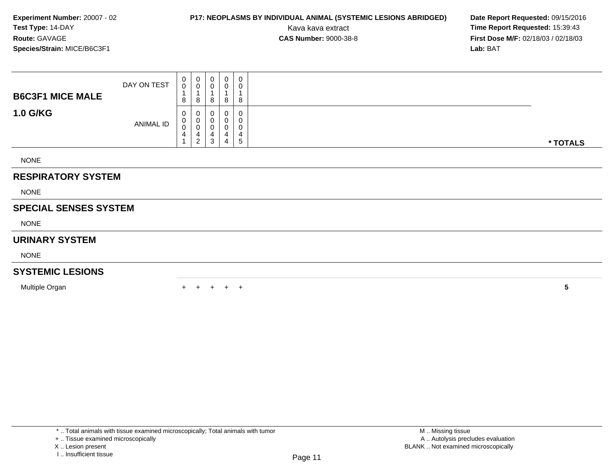### **P17: NEOPLASMS BY INDIVIDUAL ANIMAL (SYSTEMIC LESIONS ABRIDGED) Date Report Requested: 09/15/2016<br>Kava kava extract <b>Time Report Requested: 15:39:43**

Kava kava extract **Time Report Requested:** 15:39:43<br>**CAS Number:** 9000-38-8 **Time Report Requested:** 15:39:43 **First Dose M/F:** 02/18/03 / 02/18/03<br>Lab: BAT **Lab:** BAT

| <b>B6C3F1 MICE MALE</b>      | DAY ON TEST | 0<br>0<br>8      | $\boldsymbol{0}$<br>$\mathbf 0$<br>$\overline{A}$<br>8 | $_{\rm 0}^{\rm 0}$<br>$\mathbf{1}$<br>8       | 0<br>0<br>8      | $\mathbf 0$<br>$\pmb{0}$<br>$\overline{1}$<br>8            |          |
|------------------------------|-------------|------------------|--------------------------------------------------------|-----------------------------------------------|------------------|------------------------------------------------------------|----------|
| <b>1.0 G/KG</b>              | ANIMAL ID   | 0<br>0<br>0<br>4 | 0<br>$\pmb{0}$<br>$\pmb{0}$<br>4<br>$\overline{2}$     | $\,0\,$<br>$\mathbf 0$<br>$\pmb{0}$<br>4<br>3 | 0<br>0<br>4<br>4 | $\pmb{0}$<br>$\pmb{0}$<br>$\pmb{0}$<br>$\overline{4}$<br>5 | * TOTALS |
| <b>NONE</b>                  |             |                  |                                                        |                                               |                  |                                                            |          |
| <b>RESPIRATORY SYSTEM</b>    |             |                  |                                                        |                                               |                  |                                                            |          |
| <b>NONE</b>                  |             |                  |                                                        |                                               |                  |                                                            |          |
| <b>SPECIAL SENSES SYSTEM</b> |             |                  |                                                        |                                               |                  |                                                            |          |
| <b>NONE</b>                  |             |                  |                                                        |                                               |                  |                                                            |          |
| <b>URINARY SYSTEM</b>        |             |                  |                                                        |                                               |                  |                                                            |          |
| <b>NONE</b>                  |             |                  |                                                        |                                               |                  |                                                            |          |
| <b>SYSTEMIC LESIONS</b>      |             |                  |                                                        |                                               |                  |                                                            |          |
| Multiple Organ               |             |                  |                                                        | $+$                                           | $+$              | $+$                                                        | 5        |

+ .. Tissue examined microscopically

X .. Lesion present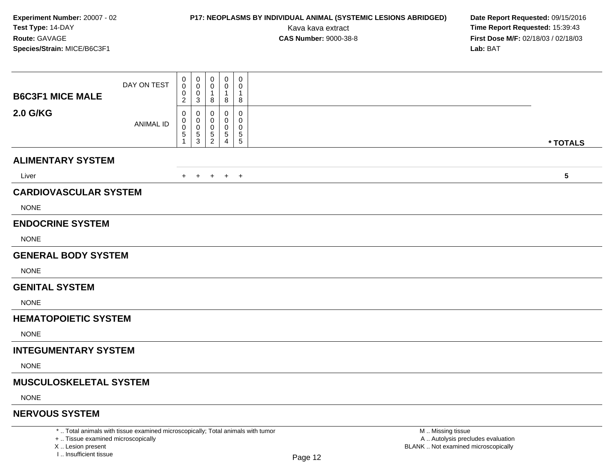# **P17: NEOPLASMS BY INDIVIDUAL ANIMAL (SYSTEMIC LESIONS ABRIDGED) Date Report Requested:** 09/15/2016

Kava kava extract **Time Report Requested:** 15:39:43<br>**CAS Number:** 9000-38-8 **Time Report Requested:** 15:39:43 **First Dose M/F:** 02/18/03 / 02/18/03<br>Lab: BAT **Lab:** BAT

|                               | DAY ON TEST                                                                     | 0<br>0<br>0      | 0<br>0<br>0      | 0<br>0<br>$\overline{1}$ | $\pmb{0}$<br>0<br>-1              | $\mathbf 0$<br>$\mathbf 0$<br>$\mathbf 1$            |  |                   |            |
|-------------------------------|---------------------------------------------------------------------------------|------------------|------------------|--------------------------|-----------------------------------|------------------------------------------------------|--|-------------------|------------|
| <b>B6C3F1 MICE MALE</b>       |                                                                                 | $\overline{c}$   | 3                | 8                        | 8                                 | 8                                                    |  |                   |            |
| <b>2.0 G/KG</b>               | <b>ANIMAL ID</b>                                                                | 0<br>0<br>0<br>5 | 0<br>0<br>0<br>5 | 0<br>0<br>$\frac{5}{2}$  | 0<br>$\Omega$<br>0<br>$\,$ 5 $\,$ | 0<br>0<br>0<br>$\begin{array}{c} 5 \\ 5 \end{array}$ |  |                   |            |
|                               |                                                                                 | 1                | 3                |                          | $\overline{4}$                    |                                                      |  |                   | * TOTALS   |
| <b>ALIMENTARY SYSTEM</b>      |                                                                                 |                  |                  |                          |                                   |                                                      |  |                   |            |
| Liver                         |                                                                                 |                  |                  |                          | + + + + +                         |                                                      |  |                   | $\sqrt{5}$ |
| <b>CARDIOVASCULAR SYSTEM</b>  |                                                                                 |                  |                  |                          |                                   |                                                      |  |                   |            |
| <b>NONE</b>                   |                                                                                 |                  |                  |                          |                                   |                                                      |  |                   |            |
| <b>ENDOCRINE SYSTEM</b>       |                                                                                 |                  |                  |                          |                                   |                                                      |  |                   |            |
| <b>NONE</b>                   |                                                                                 |                  |                  |                          |                                   |                                                      |  |                   |            |
| <b>GENERAL BODY SYSTEM</b>    |                                                                                 |                  |                  |                          |                                   |                                                      |  |                   |            |
| <b>NONE</b>                   |                                                                                 |                  |                  |                          |                                   |                                                      |  |                   |            |
| <b>GENITAL SYSTEM</b>         |                                                                                 |                  |                  |                          |                                   |                                                      |  |                   |            |
| <b>NONE</b>                   |                                                                                 |                  |                  |                          |                                   |                                                      |  |                   |            |
| <b>HEMATOPOIETIC SYSTEM</b>   |                                                                                 |                  |                  |                          |                                   |                                                      |  |                   |            |
| <b>NONE</b>                   |                                                                                 |                  |                  |                          |                                   |                                                      |  |                   |            |
| <b>INTEGUMENTARY SYSTEM</b>   |                                                                                 |                  |                  |                          |                                   |                                                      |  |                   |            |
| <b>NONE</b>                   |                                                                                 |                  |                  |                          |                                   |                                                      |  |                   |            |
| <b>MUSCULOSKELETAL SYSTEM</b> |                                                                                 |                  |                  |                          |                                   |                                                      |  |                   |            |
| <b>NONE</b>                   |                                                                                 |                  |                  |                          |                                   |                                                      |  |                   |            |
| <b>NERVOUS SYSTEM</b>         |                                                                                 |                  |                  |                          |                                   |                                                      |  |                   |            |
|                               | *  Total animals with tissue examined microscopically; Total animals with tumor |                  |                  |                          |                                   |                                                      |  | M  Missing tissue |            |

+ .. Tissue examined microscopically

X .. Lesion present

I .. Insufficient tissue

y the contract of the contract of the contract of the contract of the contract of  $\mathsf A$  . Autolysis precludes evaluation Lesion present BLANK .. Not examined microscopically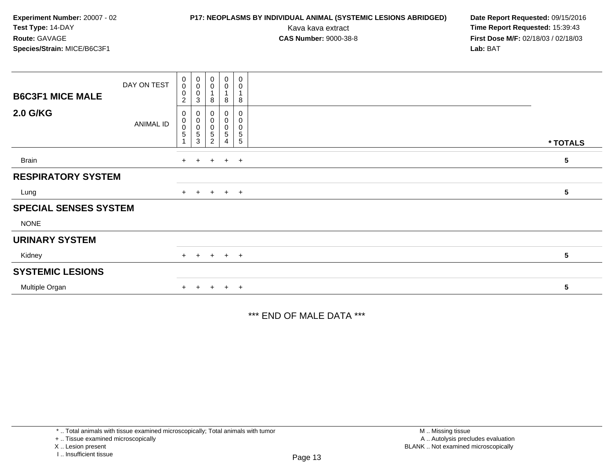### **P17: NEOPLASMS BY INDIVIDUAL ANIMAL (SYSTEMIC LESIONS ABRIDGED) Date Report Requested: 09/15/2016<br>Kava kava extract <b>Time Report Requested: 15:39:43**

Kava kava extract **Time Report Requested:** 15:39:43<br>**CAS Number:** 9000-38-8 **Time Report Requested:** 15:39:43 **First Dose M/F:** 02/18/03 / 02/18/03<br>Lab: BAT **Lab:** BAT

| <b>B6C3F1 MICE MALE</b>      | DAY ON TEST      | 0<br>$\mathbf 0$<br>$\boldsymbol{0}$<br>2 | $\begin{smallmatrix}0\\0\\0\\0\end{smallmatrix}$<br>3          | $\begin{smallmatrix} 0\\0 \end{smallmatrix}$<br>$\mathbf{1}$<br>8 | $\begin{smallmatrix} 0\\0 \end{smallmatrix}$<br>8 | $\pmb{0}$<br>$\pmb{0}$<br>8                                 |            |
|------------------------------|------------------|-------------------------------------------|----------------------------------------------------------------|-------------------------------------------------------------------|---------------------------------------------------|-------------------------------------------------------------|------------|
| <b>2.0 G/KG</b>              | <b>ANIMAL ID</b> | 0<br>0<br>$\pmb{0}$<br>5                  | $\begin{smallmatrix}0\\0\\0\end{smallmatrix}$<br>$\frac{5}{3}$ | $\,0\,$<br>0<br>0<br>$\mathbf 5$<br>$\overline{c}$                | 0<br>0<br>0<br>5<br>4                             | $\pmb{0}$<br>0<br>$\pmb{0}$<br>$\sqrt{5}$<br>$\overline{5}$ | * TOTALS   |
| <b>Brain</b>                 |                  | $+$                                       |                                                                | $+$ $+$ $+$ $+$                                                   |                                                   |                                                             | $\sqrt{5}$ |
| <b>RESPIRATORY SYSTEM</b>    |                  |                                           |                                                                |                                                                   |                                                   |                                                             |            |
| Lung                         |                  | $+$                                       |                                                                | $+$ $+$ $+$ $+$                                                   |                                                   |                                                             | 5          |
| <b>SPECIAL SENSES SYSTEM</b> |                  |                                           |                                                                |                                                                   |                                                   |                                                             |            |
| <b>NONE</b>                  |                  |                                           |                                                                |                                                                   |                                                   |                                                             |            |
| <b>URINARY SYSTEM</b>        |                  |                                           |                                                                |                                                                   |                                                   |                                                             |            |
| Kidney                       |                  | $+$                                       |                                                                | $+ + + + +$                                                       |                                                   |                                                             | 5          |
| <b>SYSTEMIC LESIONS</b>      |                  |                                           |                                                                |                                                                   |                                                   |                                                             |            |
| Multiple Organ               |                  | $+$                                       |                                                                | $+$ $+$ $+$ $+$                                                   |                                                   |                                                             | 5          |

\*\*\* END OF MALE DATA \*\*\*

\* .. Total animals with tissue examined microscopically; Total animals with tumor

+ .. Tissue examined microscopically

X .. Lesion present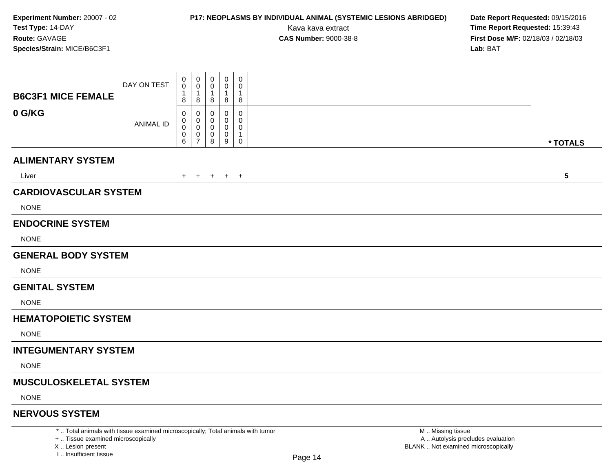# **P17: NEOPLASMS BY INDIVIDUAL ANIMAL (SYSTEMIC LESIONS ABRIDGED) Date Report Requested:** 09/15/2016

Kava kava extract **Time Report Requested:** 15:39:43<br>**CAS Number:** 9000-38-8 **Time Report Requested:** 15:39:43 **First Dose M/F:** 02/18/03 / 02/18/03<br>Lab: BAT **Lab:** BAT

|                                                                                 | DAY ON TEST      | $\pmb{0}$<br>0    | 0<br>0            | 0<br>0              | $\mathbf 0$<br>0 | 0<br>0           |                   |          |
|---------------------------------------------------------------------------------|------------------|-------------------|-------------------|---------------------|------------------|------------------|-------------------|----------|
| <b>B6C3F1 MICE FEMALE</b>                                                       |                  | $\mathbf{1}$<br>8 | $\mathbf{1}$<br>8 | $\overline{1}$<br>8 | 1<br>8           | 1<br>8           |                   |          |
| 0 G/KG                                                                          |                  | 0<br>0            | 0<br>0            | 0<br>0              | 0<br>0           | 0<br>0           |                   |          |
|                                                                                 | <b>ANIMAL ID</b> | 0<br>0            | 0<br>0            | $\mathbf 0$<br>0    | 0<br>0           | $\mathbf 0$<br>1 |                   |          |
|                                                                                 |                  | 6                 | $\overline{7}$    | 8                   | $9\,$            | 0                |                   | * TOTALS |
| <b>ALIMENTARY SYSTEM</b>                                                        |                  |                   |                   |                     |                  |                  |                   |          |
| Liver                                                                           |                  |                   |                   |                     | + + + + +        |                  |                   | 5        |
| <b>CARDIOVASCULAR SYSTEM</b>                                                    |                  |                   |                   |                     |                  |                  |                   |          |
| <b>NONE</b>                                                                     |                  |                   |                   |                     |                  |                  |                   |          |
| <b>ENDOCRINE SYSTEM</b>                                                         |                  |                   |                   |                     |                  |                  |                   |          |
| <b>NONE</b>                                                                     |                  |                   |                   |                     |                  |                  |                   |          |
| <b>GENERAL BODY SYSTEM</b>                                                      |                  |                   |                   |                     |                  |                  |                   |          |
| <b>NONE</b>                                                                     |                  |                   |                   |                     |                  |                  |                   |          |
| <b>GENITAL SYSTEM</b>                                                           |                  |                   |                   |                     |                  |                  |                   |          |
| <b>NONE</b>                                                                     |                  |                   |                   |                     |                  |                  |                   |          |
| <b>HEMATOPOIETIC SYSTEM</b>                                                     |                  |                   |                   |                     |                  |                  |                   |          |
| <b>NONE</b>                                                                     |                  |                   |                   |                     |                  |                  |                   |          |
| <b>INTEGUMENTARY SYSTEM</b>                                                     |                  |                   |                   |                     |                  |                  |                   |          |
| <b>NONE</b>                                                                     |                  |                   |                   |                     |                  |                  |                   |          |
| <b>MUSCULOSKELETAL SYSTEM</b>                                                   |                  |                   |                   |                     |                  |                  |                   |          |
| <b>NONE</b>                                                                     |                  |                   |                   |                     |                  |                  |                   |          |
| <b>NERVOUS SYSTEM</b>                                                           |                  |                   |                   |                     |                  |                  |                   |          |
| *  Total animals with tissue examined microscopically; Total animals with tumor |                  |                   |                   |                     |                  |                  | M  Missing tissue |          |

+ .. Tissue examined microscopically

X .. Lesion present

I .. Insufficient tissue

 M .. Missing tissue A .. Autolysis precludes evaluationLesion present BLANK .. Not examined microscopically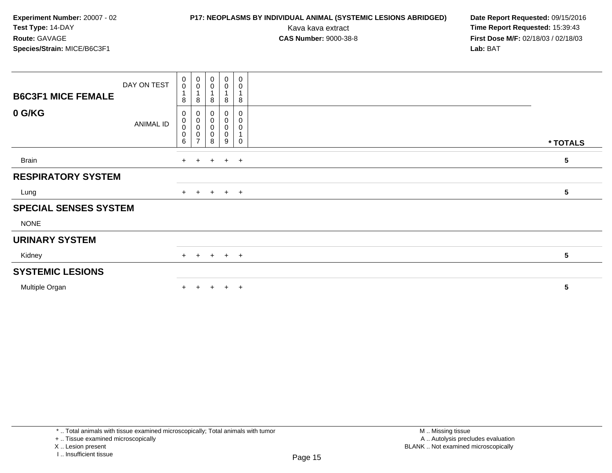## **P17: NEOPLASMS BY INDIVIDUAL ANIMAL (SYSTEMIC LESIONS ABRIDGED) Date Report Requested:** 09/15/2016

Kava kava extract **Time Report Requested:** 15:39:43<br>**CAS Number:** 9000-38-8 **Time Report Requested:** 15:39:43 **First Dose M/F:** 02/18/03 / 02/18/03<br>Lab: BAT **Lab:** BAT

| <b>B6C3F1 MICE FEMALE</b>    | DAY ON TEST      | $\begin{smallmatrix} 0\\0 \end{smallmatrix}$<br>8 | $\begin{smallmatrix} 0\\0 \end{smallmatrix}$<br>1<br>8     | $_{\rm 0}^{\rm 0}$<br>8  | $\begin{smallmatrix}0\0\0\end{smallmatrix}$<br>8 | $\mathbf 0$<br>0<br>8 |                 |  |
|------------------------------|------------------|---------------------------------------------------|------------------------------------------------------------|--------------------------|--------------------------------------------------|-----------------------|-----------------|--|
| 0 G/KG                       | <b>ANIMAL ID</b> | 0<br>$\mathbf 0$<br>$\mathbf 0$<br>$\pmb{0}$<br>6 | 0<br>$\pmb{0}$<br>$\mathbf 0$<br>$\,0\,$<br>$\overline{7}$ | 0<br>$\pmb{0}$<br>0<br>8 | $\mathbf 0$<br>$\pmb{0}$<br>0<br>0<br>9          | 0<br>0<br>0<br>0      | * TOTALS        |  |
| <b>Brain</b>                 |                  | $+$                                               | $+$                                                        |                          | $+$ $+$ $+$                                      |                       | $5\phantom{.0}$ |  |
| <b>RESPIRATORY SYSTEM</b>    |                  |                                                   |                                                            |                          |                                                  |                       |                 |  |
| Lung                         |                  |                                                   |                                                            |                          | + + + + +                                        |                       | 5               |  |
| <b>SPECIAL SENSES SYSTEM</b> |                  |                                                   |                                                            |                          |                                                  |                       |                 |  |
| <b>NONE</b>                  |                  |                                                   |                                                            |                          |                                                  |                       |                 |  |
| <b>URINARY SYSTEM</b>        |                  |                                                   |                                                            |                          |                                                  |                       |                 |  |
| Kidney                       |                  |                                                   |                                                            |                          | + + + + +                                        |                       | 5               |  |
| <b>SYSTEMIC LESIONS</b>      |                  |                                                   |                                                            |                          |                                                  |                       |                 |  |
| Multiple Organ               |                  |                                                   | $\pm$                                                      | $+$                      | $+$                                              | $+$                   | 5               |  |

\* .. Total animals with tissue examined microscopically; Total animals with tumor

+ .. Tissue examined microscopically

X .. Lesion present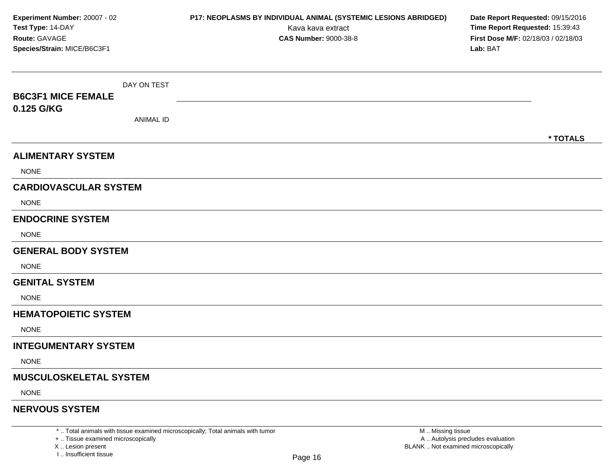| Experiment Number: 20007 - 02<br>Test Type: 14-DAY<br>Route: GAVAGE<br>Species/Strain: MICE/B6C3F1 |                  | P17: NEOPLASMS BY INDIVIDUAL ANIMAL (SYSTEMIC LESIONS ABRIDGED)<br>Kava kava extract<br><b>CAS Number: 9000-38-8</b> | Date Report Requested: 09/15/2016<br>Time Report Requested: 15:39:43<br>First Dose M/F: 02/18/03 / 02/18/03<br>Lab: BAT |
|----------------------------------------------------------------------------------------------------|------------------|----------------------------------------------------------------------------------------------------------------------|-------------------------------------------------------------------------------------------------------------------------|
|                                                                                                    | DAY ON TEST      |                                                                                                                      |                                                                                                                         |
| <b>B6C3F1 MICE FEMALE</b>                                                                          |                  |                                                                                                                      |                                                                                                                         |
| 0.125 G/KG                                                                                         | <b>ANIMAL ID</b> |                                                                                                                      |                                                                                                                         |
|                                                                                                    |                  |                                                                                                                      | * TOTALS                                                                                                                |
| <b>ALIMENTARY SYSTEM</b>                                                                           |                  |                                                                                                                      |                                                                                                                         |
| <b>NONE</b>                                                                                        |                  |                                                                                                                      |                                                                                                                         |
| <b>CARDIOVASCULAR SYSTEM</b>                                                                       |                  |                                                                                                                      |                                                                                                                         |
| <b>NONE</b>                                                                                        |                  |                                                                                                                      |                                                                                                                         |
| <b>ENDOCRINE SYSTEM</b>                                                                            |                  |                                                                                                                      |                                                                                                                         |
| <b>NONE</b>                                                                                        |                  |                                                                                                                      |                                                                                                                         |
| <b>GENERAL BODY SYSTEM</b>                                                                         |                  |                                                                                                                      |                                                                                                                         |
| <b>NONE</b>                                                                                        |                  |                                                                                                                      |                                                                                                                         |
| <b>GENITAL SYSTEM</b>                                                                              |                  |                                                                                                                      |                                                                                                                         |
| <b>NONE</b>                                                                                        |                  |                                                                                                                      |                                                                                                                         |
| <b>HEMATOPOIETIC SYSTEM</b>                                                                        |                  |                                                                                                                      |                                                                                                                         |
| <b>NONE</b>                                                                                        |                  |                                                                                                                      |                                                                                                                         |
| <b>INTEGUMENTARY SYSTEM</b>                                                                        |                  |                                                                                                                      |                                                                                                                         |
| <b>NONE</b>                                                                                        |                  |                                                                                                                      |                                                                                                                         |
| MUSCULOSKELETAL SYSTEM                                                                             |                  |                                                                                                                      |                                                                                                                         |
| <b>NONE</b>                                                                                        |                  |                                                                                                                      |                                                                                                                         |
| <b>NERVOUS SYSTEM</b>                                                                              |                  |                                                                                                                      |                                                                                                                         |

\* .. Total animals with tissue examined microscopically; Total animals with tumor<br>+ .. Tissue examined microscopically a .. Autolysis precludes evaluation examined microscopically A .. Autolysis precludes evaluation

X ..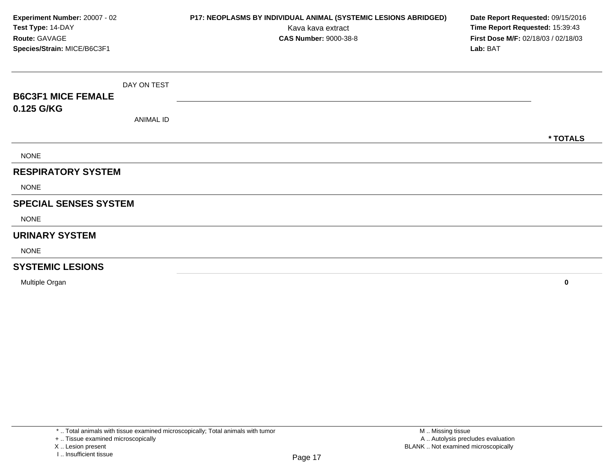| Experiment Number: 20007 - 02<br>Test Type: 14-DAY<br>Route: GAVAGE<br>Species/Strain: MICE/B6C3F1 |                  | P17: NEOPLASMS BY INDIVIDUAL ANIMAL (SYSTEMIC LESIONS ABRIDGED)<br>Kava kava extract<br><b>CAS Number: 9000-38-8</b> | Date Report Requested: 09/15/2016<br>Time Report Requested: 15:39:43<br>First Dose M/F: 02/18/03 / 02/18/03<br>Lab: BAT |
|----------------------------------------------------------------------------------------------------|------------------|----------------------------------------------------------------------------------------------------------------------|-------------------------------------------------------------------------------------------------------------------------|
|                                                                                                    |                  |                                                                                                                      |                                                                                                                         |
|                                                                                                    | DAY ON TEST      |                                                                                                                      |                                                                                                                         |
| <b>B6C3F1 MICE FEMALE</b>                                                                          |                  |                                                                                                                      |                                                                                                                         |
| 0.125 G/KG                                                                                         | <b>ANIMAL ID</b> |                                                                                                                      |                                                                                                                         |
|                                                                                                    |                  |                                                                                                                      | * TOTALS                                                                                                                |
| <b>NONE</b>                                                                                        |                  |                                                                                                                      |                                                                                                                         |
| <b>RESPIRATORY SYSTEM</b>                                                                          |                  |                                                                                                                      |                                                                                                                         |
| <b>NONE</b>                                                                                        |                  |                                                                                                                      |                                                                                                                         |
| <b>SPECIAL SENSES SYSTEM</b>                                                                       |                  |                                                                                                                      |                                                                                                                         |
| <b>NONE</b>                                                                                        |                  |                                                                                                                      |                                                                                                                         |
| <b>URINARY SYSTEM</b>                                                                              |                  |                                                                                                                      |                                                                                                                         |
| <b>NONE</b>                                                                                        |                  |                                                                                                                      |                                                                                                                         |
| <b>SYSTEMIC LESIONS</b>                                                                            |                  |                                                                                                                      |                                                                                                                         |
| Multiple Organ                                                                                     |                  |                                                                                                                      | $\mathbf 0$                                                                                                             |

X .. Lesion present

I .. Insufficient tissue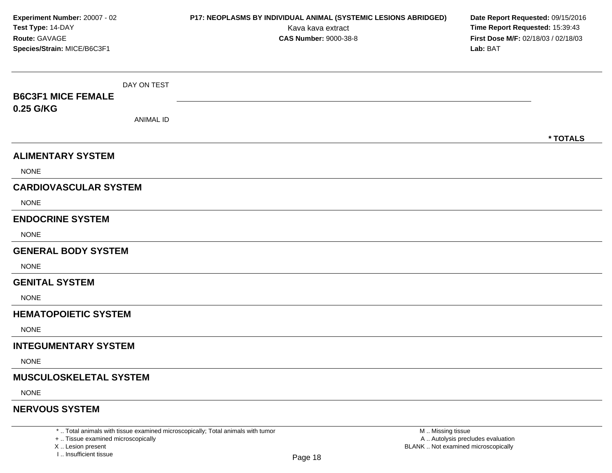| Experiment Number: 20007 - 02<br>Test Type: 14-DAY<br>Route: GAVAGE<br>Species/Strain: MICE/B6C3F1 |                  | P17: NEOPLASMS BY INDIVIDUAL ANIMAL (SYSTEMIC LESIONS ABRIDGED)<br>Kava kava extract<br><b>CAS Number: 9000-38-8</b> | Date Report Requested: 09/15/2016<br>Time Report Requested: 15:39:43<br>First Dose M/F: 02/18/03 / 02/18/03<br>Lab: BAT |
|----------------------------------------------------------------------------------------------------|------------------|----------------------------------------------------------------------------------------------------------------------|-------------------------------------------------------------------------------------------------------------------------|
|                                                                                                    | DAY ON TEST      |                                                                                                                      |                                                                                                                         |
| <b>B6C3F1 MICE FEMALE</b>                                                                          |                  |                                                                                                                      |                                                                                                                         |
| 0.25 G/KG                                                                                          | <b>ANIMAL ID</b> |                                                                                                                      |                                                                                                                         |
|                                                                                                    |                  |                                                                                                                      | * TOTALS                                                                                                                |
| <b>ALIMENTARY SYSTEM</b>                                                                           |                  |                                                                                                                      |                                                                                                                         |
| <b>NONE</b>                                                                                        |                  |                                                                                                                      |                                                                                                                         |
| <b>CARDIOVASCULAR SYSTEM</b>                                                                       |                  |                                                                                                                      |                                                                                                                         |
| <b>NONE</b>                                                                                        |                  |                                                                                                                      |                                                                                                                         |
| <b>ENDOCRINE SYSTEM</b>                                                                            |                  |                                                                                                                      |                                                                                                                         |
| <b>NONE</b>                                                                                        |                  |                                                                                                                      |                                                                                                                         |
| <b>GENERAL BODY SYSTEM</b>                                                                         |                  |                                                                                                                      |                                                                                                                         |
| <b>NONE</b>                                                                                        |                  |                                                                                                                      |                                                                                                                         |
| <b>GENITAL SYSTEM</b>                                                                              |                  |                                                                                                                      |                                                                                                                         |
| <b>NONE</b>                                                                                        |                  |                                                                                                                      |                                                                                                                         |
| <b>HEMATOPOIETIC SYSTEM</b>                                                                        |                  |                                                                                                                      |                                                                                                                         |
| <b>NONE</b>                                                                                        |                  |                                                                                                                      |                                                                                                                         |
| <b>INTEGUMENTARY SYSTEM</b>                                                                        |                  |                                                                                                                      |                                                                                                                         |
| <b>NONE</b>                                                                                        |                  |                                                                                                                      |                                                                                                                         |
| <b>MUSCULOSKELETAL SYSTEM</b>                                                                      |                  |                                                                                                                      |                                                                                                                         |
| <b>NONE</b>                                                                                        |                  |                                                                                                                      |                                                                                                                         |
| <b>NERVOUS SYSTEM</b>                                                                              |                  |                                                                                                                      |                                                                                                                         |

X ..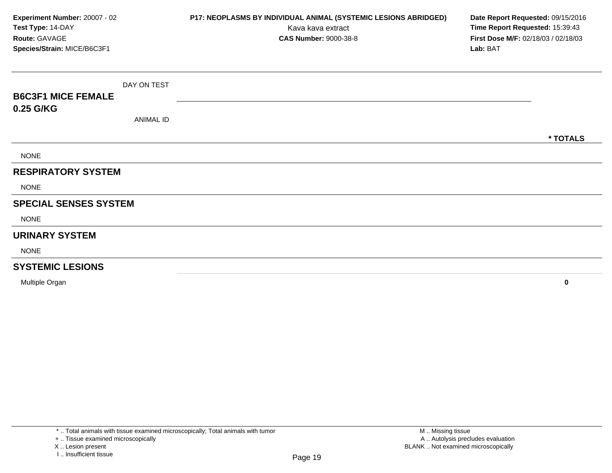| Experiment Number: 20007 - 02<br>Test Type: 14-DAY<br>Route: GAVAGE<br>Species/Strain: MICE/B6C3F1 |                  | P17: NEOPLASMS BY INDIVIDUAL ANIMAL (SYSTEMIC LESIONS ABRIDGED)<br>Kava kava extract<br><b>CAS Number: 9000-38-8</b> | Date Report Requested: 09/15/2016<br>Time Report Requested: 15:39:43<br>First Dose M/F: 02/18/03 / 02/18/03<br>Lab: BAT |
|----------------------------------------------------------------------------------------------------|------------------|----------------------------------------------------------------------------------------------------------------------|-------------------------------------------------------------------------------------------------------------------------|
|                                                                                                    |                  |                                                                                                                      |                                                                                                                         |
|                                                                                                    | DAY ON TEST      |                                                                                                                      |                                                                                                                         |
| <b>B6C3F1 MICE FEMALE</b>                                                                          |                  |                                                                                                                      |                                                                                                                         |
| 0.25 G/KG                                                                                          | <b>ANIMAL ID</b> |                                                                                                                      |                                                                                                                         |
|                                                                                                    |                  |                                                                                                                      | * TOTALS                                                                                                                |
| <b>NONE</b>                                                                                        |                  |                                                                                                                      |                                                                                                                         |
| <b>RESPIRATORY SYSTEM</b>                                                                          |                  |                                                                                                                      |                                                                                                                         |
| <b>NONE</b>                                                                                        |                  |                                                                                                                      |                                                                                                                         |
| <b>SPECIAL SENSES SYSTEM</b>                                                                       |                  |                                                                                                                      |                                                                                                                         |
| <b>NONE</b>                                                                                        |                  |                                                                                                                      |                                                                                                                         |
| <b>URINARY SYSTEM</b>                                                                              |                  |                                                                                                                      |                                                                                                                         |
| <b>NONE</b>                                                                                        |                  |                                                                                                                      |                                                                                                                         |
| <b>SYSTEMIC LESIONS</b>                                                                            |                  |                                                                                                                      |                                                                                                                         |
| Multiple Organ                                                                                     |                  |                                                                                                                      | $\mathbf 0$                                                                                                             |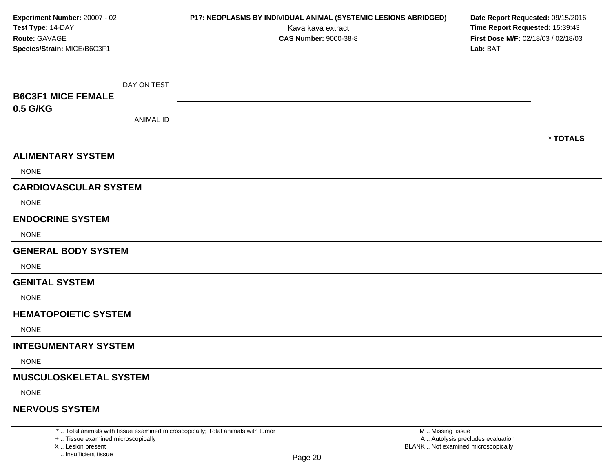| Experiment Number: 20007 - 02<br>Test Type: 14-DAY<br>Route: GAVAGE<br>Species/Strain: MICE/B6C3F1 |                  | P17: NEOPLASMS BY INDIVIDUAL ANIMAL (SYSTEMIC LESIONS ABRIDGED)<br>Kava kava extract<br><b>CAS Number: 9000-38-8</b> | Date Report Requested: 09/15/2016<br>Time Report Requested: 15:39:43<br>First Dose M/F: 02/18/03 / 02/18/03<br>Lab: BAT |
|----------------------------------------------------------------------------------------------------|------------------|----------------------------------------------------------------------------------------------------------------------|-------------------------------------------------------------------------------------------------------------------------|
|                                                                                                    | DAY ON TEST      |                                                                                                                      |                                                                                                                         |
| <b>B6C3F1 MICE FEMALE</b>                                                                          |                  |                                                                                                                      |                                                                                                                         |
| 0.5 G/KG                                                                                           | <b>ANIMAL ID</b> |                                                                                                                      |                                                                                                                         |
|                                                                                                    |                  |                                                                                                                      | * TOTALS                                                                                                                |
| <b>ALIMENTARY SYSTEM</b>                                                                           |                  |                                                                                                                      |                                                                                                                         |
| <b>NONE</b>                                                                                        |                  |                                                                                                                      |                                                                                                                         |
| <b>CARDIOVASCULAR SYSTEM</b>                                                                       |                  |                                                                                                                      |                                                                                                                         |
| <b>NONE</b>                                                                                        |                  |                                                                                                                      |                                                                                                                         |
| <b>ENDOCRINE SYSTEM</b>                                                                            |                  |                                                                                                                      |                                                                                                                         |
| <b>NONE</b>                                                                                        |                  |                                                                                                                      |                                                                                                                         |
| <b>GENERAL BODY SYSTEM</b>                                                                         |                  |                                                                                                                      |                                                                                                                         |
| <b>NONE</b>                                                                                        |                  |                                                                                                                      |                                                                                                                         |
| <b>GENITAL SYSTEM</b>                                                                              |                  |                                                                                                                      |                                                                                                                         |
| <b>NONE</b>                                                                                        |                  |                                                                                                                      |                                                                                                                         |
| <b>HEMATOPOIETIC SYSTEM</b>                                                                        |                  |                                                                                                                      |                                                                                                                         |
| <b>NONE</b>                                                                                        |                  |                                                                                                                      |                                                                                                                         |
| <b>INTEGUMENTARY SYSTEM</b>                                                                        |                  |                                                                                                                      |                                                                                                                         |
| <b>NONE</b>                                                                                        |                  |                                                                                                                      |                                                                                                                         |
| <b>MUSCULOSKELETAL SYSTEM</b>                                                                      |                  |                                                                                                                      |                                                                                                                         |
| <b>NONE</b>                                                                                        |                  |                                                                                                                      |                                                                                                                         |
| <b>NERVOUS SYSTEM</b>                                                                              |                  |                                                                                                                      |                                                                                                                         |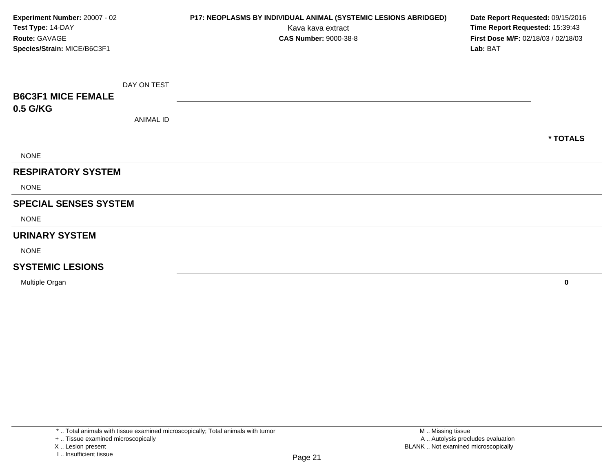| Experiment Number: 20007 - 02<br>Test Type: 14-DAY<br>Route: GAVAGE<br>Species/Strain: MICE/B6C3F1 |                  | P17: NEOPLASMS BY INDIVIDUAL ANIMAL (SYSTEMIC LESIONS ABRIDGED)<br>Kava kava extract<br><b>CAS Number: 9000-38-8</b> | Date Report Requested: 09/15/2016<br>Time Report Requested: 15:39:43<br>First Dose M/F: 02/18/03 / 02/18/03<br>Lab: BAT |
|----------------------------------------------------------------------------------------------------|------------------|----------------------------------------------------------------------------------------------------------------------|-------------------------------------------------------------------------------------------------------------------------|
|                                                                                                    | DAY ON TEST      |                                                                                                                      |                                                                                                                         |
| <b>B6C3F1 MICE FEMALE</b>                                                                          |                  |                                                                                                                      |                                                                                                                         |
| 0.5 G/KG                                                                                           |                  |                                                                                                                      |                                                                                                                         |
|                                                                                                    | <b>ANIMAL ID</b> |                                                                                                                      |                                                                                                                         |
|                                                                                                    |                  |                                                                                                                      | * TOTALS                                                                                                                |
| <b>NONE</b>                                                                                        |                  |                                                                                                                      |                                                                                                                         |
| <b>RESPIRATORY SYSTEM</b>                                                                          |                  |                                                                                                                      |                                                                                                                         |
| <b>NONE</b>                                                                                        |                  |                                                                                                                      |                                                                                                                         |
| <b>SPECIAL SENSES SYSTEM</b>                                                                       |                  |                                                                                                                      |                                                                                                                         |
| <b>NONE</b>                                                                                        |                  |                                                                                                                      |                                                                                                                         |
| <b>URINARY SYSTEM</b>                                                                              |                  |                                                                                                                      |                                                                                                                         |
| <b>NONE</b>                                                                                        |                  |                                                                                                                      |                                                                                                                         |
| <b>SYSTEMIC LESIONS</b>                                                                            |                  |                                                                                                                      |                                                                                                                         |
| Multiple Organ                                                                                     |                  |                                                                                                                      | $\mathbf 0$                                                                                                             |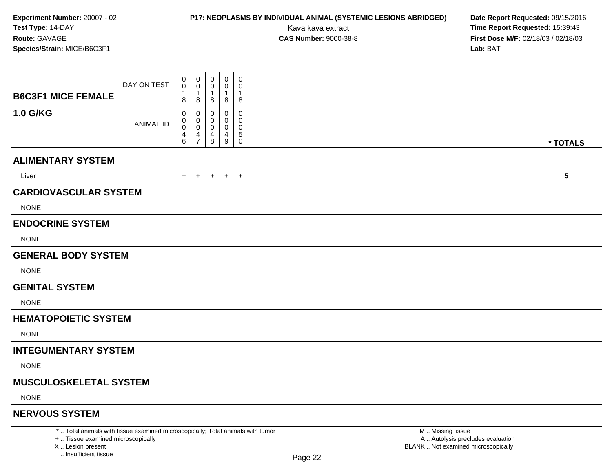# **P17: NEOPLASMS BY INDIVIDUAL ANIMAL (SYSTEMIC LESIONS ABRIDGED) Date Report Requested:** 09/15/2016

Kava kava extract **Time Report Requested:** 15:39:43<br>**CAS Number:** 9000-38-8 **Time Report Requested:** 15:39:43 **First Dose M/F:** 02/18/03 / 02/18/03<br>Lab: BAT **Lab:** BAT

|                                                                                 | DAY ON TEST      | 0<br>$\mathbf 0$                           | $\mathbf 0$<br>$\mathbf 0$ | 0<br>0                                               | $\mathbf 0$<br>0 | 0<br>0      |                   |            |
|---------------------------------------------------------------------------------|------------------|--------------------------------------------|----------------------------|------------------------------------------------------|------------------|-------------|-------------------|------------|
| <b>B6C3F1 MICE FEMALE</b>                                                       |                  | $\mathbf 1$<br>8                           | 8                          | $\mathbf{1}$<br>8                                    | 1<br>8           | 1<br>8      |                   |            |
| <b>1.0 G/KG</b>                                                                 |                  | 0<br>0                                     | $\Omega$<br>0              | $\Omega$<br>0                                        | 0<br>0           | 0<br>0      |                   |            |
|                                                                                 | <b>ANIMAL ID</b> | 0<br>$\begin{array}{c} 4 \\ 6 \end{array}$ | 0<br>$\frac{4}{7}$         | $\mathbf 0$<br>$\begin{array}{c} 4 \\ 8 \end{array}$ | 0<br>4           | 0<br>5      |                   |            |
|                                                                                 |                  |                                            |                            |                                                      | $9\,$            | $\mathbf 0$ |                   | * TOTALS   |
| <b>ALIMENTARY SYSTEM</b>                                                        |                  |                                            |                            |                                                      |                  |             |                   |            |
| Liver                                                                           |                  |                                            |                            |                                                      | + + + + +        |             |                   | $\sqrt{5}$ |
| <b>CARDIOVASCULAR SYSTEM</b>                                                    |                  |                                            |                            |                                                      |                  |             |                   |            |
| <b>NONE</b>                                                                     |                  |                                            |                            |                                                      |                  |             |                   |            |
| <b>ENDOCRINE SYSTEM</b>                                                         |                  |                                            |                            |                                                      |                  |             |                   |            |
| <b>NONE</b>                                                                     |                  |                                            |                            |                                                      |                  |             |                   |            |
| <b>GENERAL BODY SYSTEM</b>                                                      |                  |                                            |                            |                                                      |                  |             |                   |            |
| <b>NONE</b>                                                                     |                  |                                            |                            |                                                      |                  |             |                   |            |
| <b>GENITAL SYSTEM</b>                                                           |                  |                                            |                            |                                                      |                  |             |                   |            |
| <b>NONE</b>                                                                     |                  |                                            |                            |                                                      |                  |             |                   |            |
| <b>HEMATOPOIETIC SYSTEM</b>                                                     |                  |                                            |                            |                                                      |                  |             |                   |            |
| <b>NONE</b>                                                                     |                  |                                            |                            |                                                      |                  |             |                   |            |
| <b>INTEGUMENTARY SYSTEM</b>                                                     |                  |                                            |                            |                                                      |                  |             |                   |            |
| <b>NONE</b>                                                                     |                  |                                            |                            |                                                      |                  |             |                   |            |
| <b>MUSCULOSKELETAL SYSTEM</b>                                                   |                  |                                            |                            |                                                      |                  |             |                   |            |
| <b>NONE</b>                                                                     |                  |                                            |                            |                                                      |                  |             |                   |            |
| <b>NERVOUS SYSTEM</b>                                                           |                  |                                            |                            |                                                      |                  |             |                   |            |
| *  Total animals with tissue examined microscopically; Total animals with tumor |                  |                                            |                            |                                                      |                  |             | M  Missing tissue |            |

+ .. Tissue examined microscopically

X .. Lesion present

I .. Insufficient tissue

y the contract of the contract of the contract of the contract of the contract of  $\mathsf A$  . Autolysis precludes evaluation Lesion present BLANK .. Not examined microscopically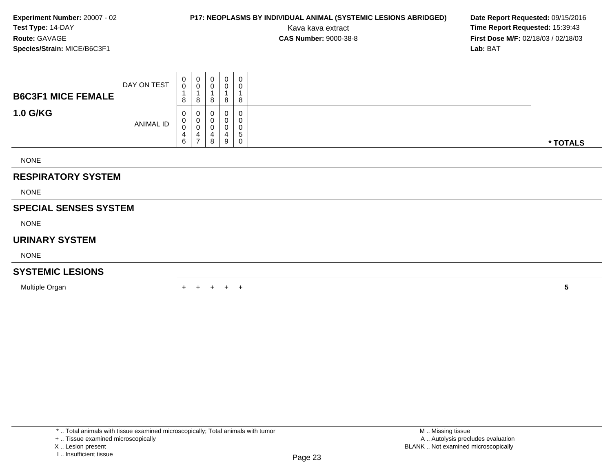### **P17: NEOPLASMS BY INDIVIDUAL ANIMAL (SYSTEMIC LESIONS ABRIDGED) Date Report Requested: 09/15/2016<br>Kava kava extract <b>Time Report Requested: 15:39:43**

Kava kava extract **Time Report Requested:** 15:39:43<br>**CAS Number:** 9000-38-8 **Time Report Requested:** 15:39:43 **First Dose M/F:** 02/18/03 / 02/18/03<br>Lab: BAT **Lab:** BAT

|                              | DAY ON TEST | 0<br>$\boldsymbol{0}$<br>$\overline{A}$ | $\overline{0}$<br>$\,0\,$                                         | 0<br>$\pmb{0}$                        | 0<br>0<br>$\overline{A}$ | $\pmb{0}$<br>$\pmb{0}$                 |          |
|------------------------------|-------------|-----------------------------------------|-------------------------------------------------------------------|---------------------------------------|--------------------------|----------------------------------------|----------|
| <b>B6C3F1 MICE FEMALE</b>    |             | 8                                       | $\overline{1}$<br>8                                               | 8                                     | 8                        | 8                                      |          |
| <b>1.0 G/KG</b>              | ANIMAL ID   | 0<br>0<br>0<br>4<br>6                   | $\boldsymbol{0}$<br>$\pmb{0}$<br>$\pmb{0}$<br>4<br>$\overline{7}$ | 0<br>$\pmb{0}$<br>$\pmb{0}$<br>4<br>8 | 0<br>0<br>4<br>9         | 0<br>0<br>$\pmb{0}$<br>$\sqrt{5}$<br>0 | * TOTALS |
| <b>NONE</b>                  |             |                                         |                                                                   |                                       |                          |                                        |          |
| <b>RESPIRATORY SYSTEM</b>    |             |                                         |                                                                   |                                       |                          |                                        |          |
| <b>NONE</b>                  |             |                                         |                                                                   |                                       |                          |                                        |          |
| <b>SPECIAL SENSES SYSTEM</b> |             |                                         |                                                                   |                                       |                          |                                        |          |
| <b>NONE</b>                  |             |                                         |                                                                   |                                       |                          |                                        |          |
| <b>URINARY SYSTEM</b>        |             |                                         |                                                                   |                                       |                          |                                        |          |
| <b>NONE</b>                  |             |                                         |                                                                   |                                       |                          |                                        |          |
| <b>SYSTEMIC LESIONS</b>      |             |                                         |                                                                   |                                       |                          |                                        |          |
| Multiple Organ               |             |                                         |                                                                   | $\pm$                                 |                          | $+$ $+$                                | 5        |

<sup>+ ..</sup> Tissue examined microscopically

X .. Lesion present

I .. Insufficient tissue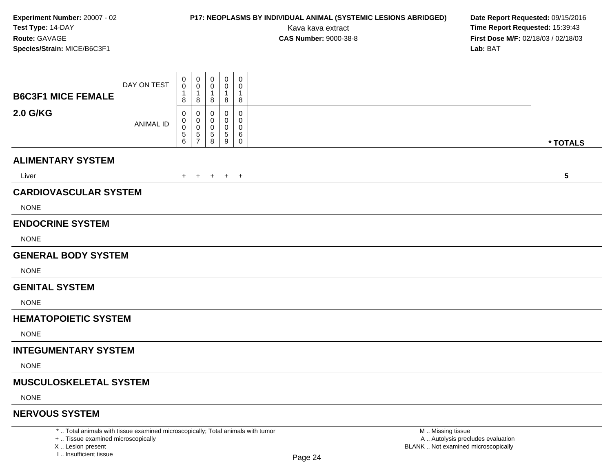# **P17: NEOPLASMS BY INDIVIDUAL ANIMAL (SYSTEMIC LESIONS ABRIDGED) Date Report Requested:** 09/15/2016

Kava kava extract **Time Report Requested:** 15:39:43<br>**CAS Number:** 9000-38-8 **Time Report Requested:** 15:39:43 **First Dose M/F:** 02/18/03 / 02/18/03<br>Lab: BAT **Lab:** BAT

|                                                                                 | DAY ON TEST      | 0<br>$\mathbf 0$                      | $\mathbf 0$<br>0 | 0<br>0            | $\mathbf 0$<br>0        | 0<br>0           |                   |                 |
|---------------------------------------------------------------------------------|------------------|---------------------------------------|------------------|-------------------|-------------------------|------------------|-------------------|-----------------|
| <b>B6C3F1 MICE FEMALE</b>                                                       |                  | 1<br>8                                | 1<br>8           | $\mathbf{1}$<br>8 | 1<br>8                  | $\mathbf 1$<br>8 |                   |                 |
| 2.0 G/KG                                                                        | <b>ANIMAL ID</b> | 0<br>0<br>0                           | 0<br>0<br>0      | 0<br>0            | 0<br>0<br>0             | 0<br>0<br>0      |                   |                 |
|                                                                                 |                  | $\begin{array}{c} 5 \\ 6 \end{array}$ | 5<br>7           | 5<br>$\bf 8$      | $\overline{5}$<br>$9\,$ | 6<br>$\mathbf 0$ |                   | * TOTALS        |
| <b>ALIMENTARY SYSTEM</b>                                                        |                  |                                       |                  |                   |                         |                  |                   |                 |
| Liver                                                                           |                  |                                       |                  |                   | + + + + +               |                  |                   | $5\phantom{.0}$ |
| <b>CARDIOVASCULAR SYSTEM</b>                                                    |                  |                                       |                  |                   |                         |                  |                   |                 |
| <b>NONE</b>                                                                     |                  |                                       |                  |                   |                         |                  |                   |                 |
| <b>ENDOCRINE SYSTEM</b>                                                         |                  |                                       |                  |                   |                         |                  |                   |                 |
| <b>NONE</b>                                                                     |                  |                                       |                  |                   |                         |                  |                   |                 |
| <b>GENERAL BODY SYSTEM</b>                                                      |                  |                                       |                  |                   |                         |                  |                   |                 |
| <b>NONE</b>                                                                     |                  |                                       |                  |                   |                         |                  |                   |                 |
| <b>GENITAL SYSTEM</b>                                                           |                  |                                       |                  |                   |                         |                  |                   |                 |
| <b>NONE</b>                                                                     |                  |                                       |                  |                   |                         |                  |                   |                 |
| <b>HEMATOPOIETIC SYSTEM</b>                                                     |                  |                                       |                  |                   |                         |                  |                   |                 |
| <b>NONE</b>                                                                     |                  |                                       |                  |                   |                         |                  |                   |                 |
| <b>INTEGUMENTARY SYSTEM</b>                                                     |                  |                                       |                  |                   |                         |                  |                   |                 |
| <b>NONE</b>                                                                     |                  |                                       |                  |                   |                         |                  |                   |                 |
| <b>MUSCULOSKELETAL SYSTEM</b>                                                   |                  |                                       |                  |                   |                         |                  |                   |                 |
| <b>NONE</b>                                                                     |                  |                                       |                  |                   |                         |                  |                   |                 |
| <b>NERVOUS SYSTEM</b>                                                           |                  |                                       |                  |                   |                         |                  |                   |                 |
| *  Total animals with tissue examined microscopically; Total animals with tumor |                  |                                       |                  |                   |                         |                  | M  Missing tissue |                 |

+ .. Tissue examined microscopically

X .. Lesion present

I .. Insufficient tissue

 M .. Missing tissue A .. Autolysis precludes evaluationLesion present BLANK .. Not examined microscopically